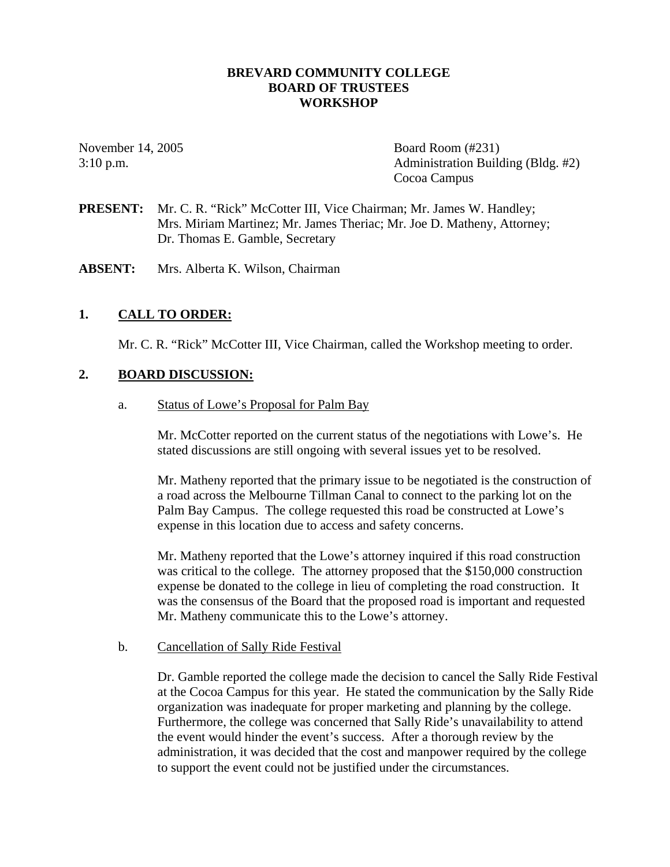#### **BREVARD COMMUNITY COLLEGE BOARD OF TRUSTEES WORKSHOP**

November 14, 2005 Board Room (#231) 3:10 p.m. Administration Building (Bldg. #2) Cocoa Campus

- **PRESENT:** Mr. C. R. "Rick" McCotter III, Vice Chairman; Mr. James W. Handley; Mrs. Miriam Martinez; Mr. James Theriac; Mr. Joe D. Matheny, Attorney; Dr. Thomas E. Gamble, Secretary
- **ABSENT:** Mrs. Alberta K. Wilson, Chairman

### **1. CALL TO ORDER:**

Mr. C. R. "Rick" McCotter III, Vice Chairman, called the Workshop meeting to order.

#### **2. BOARD DISCUSSION:**

a. Status of Lowe's Proposal for Palm Bay

Mr. McCotter reported on the current status of the negotiations with Lowe's. He stated discussions are still ongoing with several issues yet to be resolved.

Mr. Matheny reported that the primary issue to be negotiated is the construction of a road across the Melbourne Tillman Canal to connect to the parking lot on the Palm Bay Campus. The college requested this road be constructed at Lowe's expense in this location due to access and safety concerns.

Mr. Matheny reported that the Lowe's attorney inquired if this road construction was critical to the college. The attorney proposed that the \$150,000 construction expense be donated to the college in lieu of completing the road construction. It was the consensus of the Board that the proposed road is important and requested Mr. Matheny communicate this to the Lowe's attorney.

#### b. Cancellation of Sally Ride Festival

Dr. Gamble reported the college made the decision to cancel the Sally Ride Festival at the Cocoa Campus for this year. He stated the communication by the Sally Ride organization was inadequate for proper marketing and planning by the college. Furthermore, the college was concerned that Sally Ride's unavailability to attend the event would hinder the event's success. After a thorough review by the administration, it was decided that the cost and manpower required by the college to support the event could not be justified under the circumstances.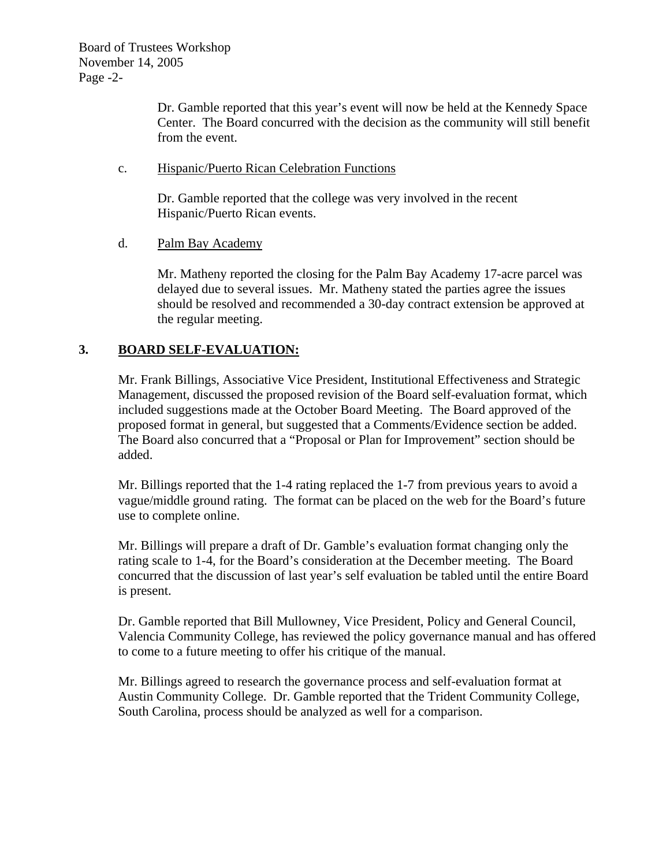Dr. Gamble reported that this year's event will now be held at the Kennedy Space Center. The Board concurred with the decision as the community will still benefit from the event.

# c. Hispanic/Puerto Rican Celebration Functions

Dr. Gamble reported that the college was very involved in the recent Hispanic/Puerto Rican events.

# d. Palm Bay Academy

Mr. Matheny reported the closing for the Palm Bay Academy 17-acre parcel was delayed due to several issues. Mr. Matheny stated the parties agree the issues should be resolved and recommended a 30-day contract extension be approved at the regular meeting.

# **3. BOARD SELF-EVALUATION:**

Mr. Frank Billings, Associative Vice President, Institutional Effectiveness and Strategic Management, discussed the proposed revision of the Board self-evaluation format, which included suggestions made at the October Board Meeting. The Board approved of the proposed format in general, but suggested that a Comments/Evidence section be added. The Board also concurred that a "Proposal or Plan for Improvement" section should be added.

Mr. Billings reported that the 1-4 rating replaced the 1-7 from previous years to avoid a vague/middle ground rating. The format can be placed on the web for the Board's future use to complete online.

Mr. Billings will prepare a draft of Dr. Gamble's evaluation format changing only the rating scale to 1-4, for the Board's consideration at the December meeting. The Board concurred that the discussion of last year's self evaluation be tabled until the entire Board is present.

Dr. Gamble reported that Bill Mullowney, Vice President, Policy and General Council, Valencia Community College, has reviewed the policy governance manual and has offered to come to a future meeting to offer his critique of the manual.

Mr. Billings agreed to research the governance process and self-evaluation format at Austin Community College. Dr. Gamble reported that the Trident Community College, South Carolina, process should be analyzed as well for a comparison.